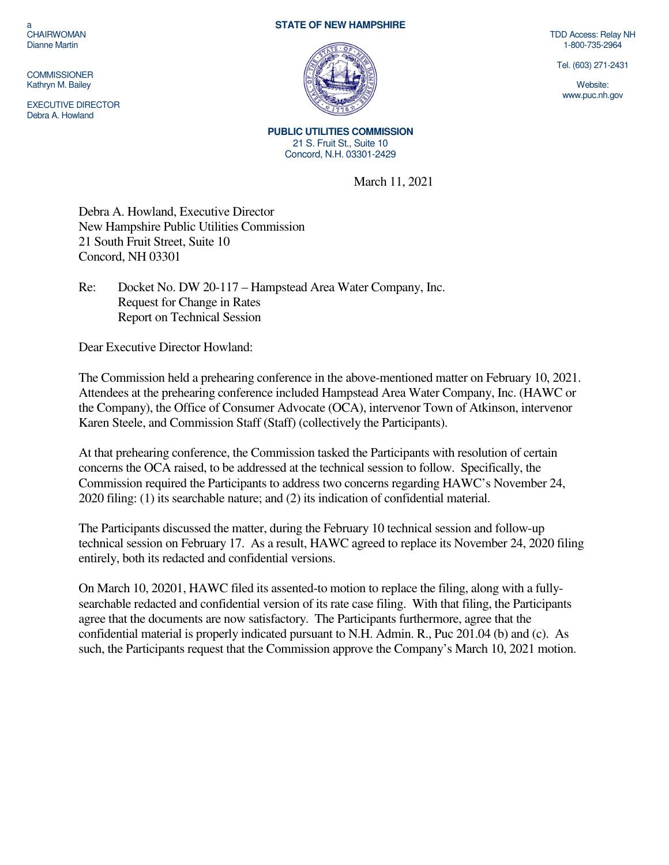a CHAIRWOMAN Dianne Martin

**COMMISSIONER** Kathryn M. Bailey

EXECUTIVE DIRECTOR Debra A. Howland

## **STATE OF NEW HAMPSHIRE**



**PUBLIC UTILITIES COMMISSION**  21 S. Fruit St., Suite 10 Concord, N.H. 03301-2429

March 11, 2021

Debra A. Howland, Executive Director New Hampshire Public Utilities Commission 21 South Fruit Street, Suite 10 Concord, NH 03301

Re: Docket No. DW 20-117 – Hampstead Area Water Company, Inc. Request for Change in Rates Report on Technical Session

Dear Executive Director Howland:

The Commission held a prehearing conference in the above-mentioned matter on February 10, 2021. Attendees at the prehearing conference included Hampstead Area Water Company, Inc. (HAWC or the Company), the Office of Consumer Advocate (OCA), intervenor Town of Atkinson, intervenor Karen Steele, and Commission Staff (Staff) (collectively the Participants).

At that prehearing conference, the Commission tasked the Participants with resolution of certain concerns the OCA raised, to be addressed at the technical session to follow. Specifically, the Commission required the Participants to address two concerns regarding HAWC's November 24, 2020 filing: (1) its searchable nature; and (2) its indication of confidential material.

The Participants discussed the matter, during the February 10 technical session and follow-up technical session on February 17. As a result, HAWC agreed to replace its November 24, 2020 filing entirely, both its redacted and confidential versions.

On March 10, 20201, HAWC filed its assented-to motion to replace the filing, along with a fullysearchable redacted and confidential version of its rate case filing. With that filing, the Participants agree that the documents are now satisfactory. The Participants furthermore, agree that the confidential material is properly indicated pursuant to N.H. Admin. R., Puc 201.04 (b) and (c). As such, the Participants request that the Commission approve the Company's March 10, 2021 motion.

TDD Access: Relay NH 1-800-735-2964

Tel. (603) 271-2431

Website: www.puc.nh.gov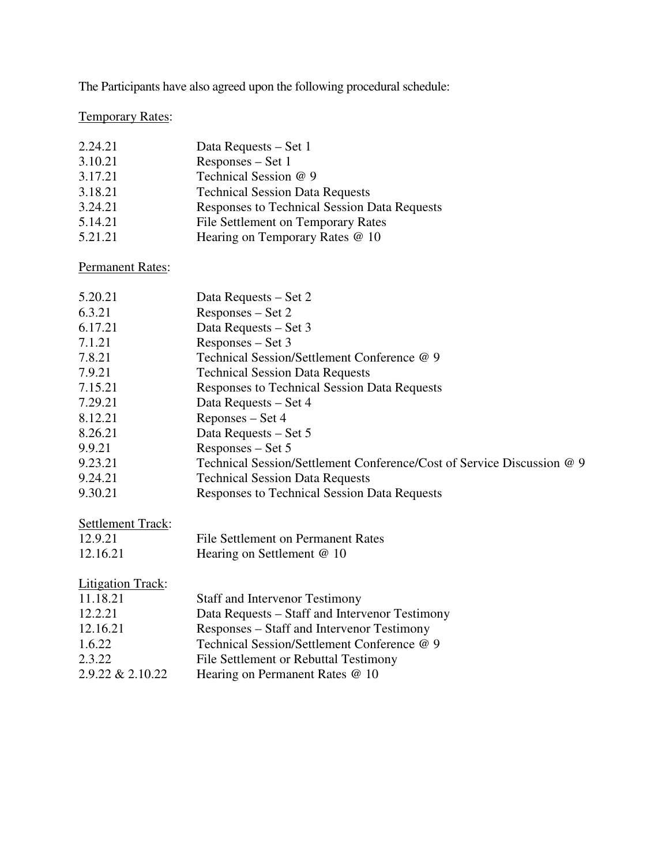The Participants have also agreed upon the following procedural schedule:

## Temporary Rates:

| 2.24.21 | Data Requests – Set 1                        |
|---------|----------------------------------------------|
| 3.10.21 | Responses – Set 1                            |
| 3.17.21 | Technical Session @ 9                        |
| 3.18.21 | <b>Technical Session Data Requests</b>       |
| 3.24.21 | Responses to Technical Session Data Requests |
| 5.14.21 | File Settlement on Temporary Rates           |
| 5.21.21 | Hearing on Temporary Rates @ 10              |

Permanent Rates:

| 5.20.21                  | Data Requests – Set 2                                                  |
|--------------------------|------------------------------------------------------------------------|
| 6.3.21                   | Responses – Set 2                                                      |
| 6.17.21                  | Data Requests – Set 3                                                  |
| 7.1.21                   | Responses – Set 3                                                      |
| 7.8.21                   | Technical Session/Settlement Conference @ 9                            |
| 7.9.21                   | <b>Technical Session Data Requests</b>                                 |
| 7.15.21                  | <b>Responses to Technical Session Data Requests</b>                    |
| 7.29.21                  | Data Requests – Set 4                                                  |
| 8.12.21                  | Reponses – Set 4                                                       |
| 8.26.21                  | Data Requests – Set 5                                                  |
| 9.9.21                   | Responses – Set 5                                                      |
| 9.23.21                  | Technical Session/Settlement Conference/Cost of Service Discussion @ 9 |
| 9.24.21                  | <b>Technical Session Data Requests</b>                                 |
| 9.30.21                  | <b>Responses to Technical Session Data Requests</b>                    |
|                          |                                                                        |
| <b>Settlement Track:</b> |                                                                        |
| 12.9.21                  | File Settlement on Permanent Rates                                     |
| 12.16.21                 | Hearing on Settlement @ 10                                             |
|                          |                                                                        |
| <b>Litigation Track:</b> |                                                                        |
| 11.18.21                 | <b>Staff and Intervenor Testimony</b>                                  |
| 12.2.21                  | Data Requests – Staff and Intervenor Testimony                         |
| 12.16.21                 | Responses – Staff and Intervenor Testimony                             |
| 1.6.22                   | Technical Session/Settlement Conference @ 9                            |
| 2.3.22                   | File Settlement or Rebuttal Testimony                                  |
| 2.9.22 & 2.10.22         | Hearing on Permanent Rates @ 10                                        |
|                          |                                                                        |